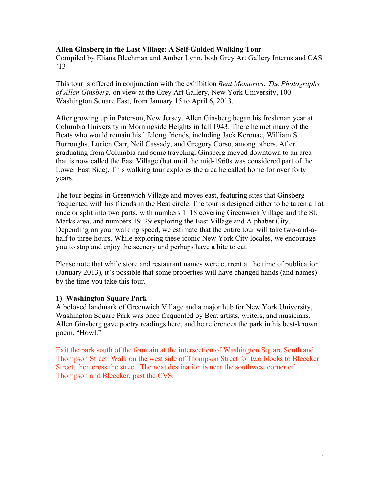### **Allen Ginsberg in the East Village: A Self-Guided Walking Tour**

Compiled by Eliana Blechman and Amber Lynn, both Grey Art Gallery Interns and CAS '13

This tour is offered in conjunction with the exhibition *Beat Memories: The Photographs of Allen Ginsberg,* on view at the Grey Art Gallery, New York University, 100 Washington Square East, from January 15 to April 6, 2013.

After growing up in Paterson, New Jersey, Allen Ginsberg began his freshman year at Columbia University in Morningside Heights in fall 1943. There he met many of the Beats who would remain his lifelong friends, including Jack Kerouac, William S. Burroughs, Lucien Carr, Neil Cassady, and Gregory Corso, among others. After graduating from Columbia and some traveling, Ginsberg moved downtown to an area that is now called the East Village (but until the mid-1960s was considered part of the Lower East Side). This walking tour explores the area he called home for over forty years.

The tour begins in Greenwich Village and moves east, featuring sites that Ginsberg frequented with his friends in the Beat circle. The tour is designed either to be taken all at once or split into two parts, with numbers 1–18 covering Greenwich Village and the St. Marks area, and numbers 19–29 exploring the East Village and Alphabet City. Depending on your walking speed, we estimate that the entire tour will take two-and-ahalf to three hours. While exploring these iconic New York City locales, we encourage you to stop and enjoy the scenery and perhaps have a bite to eat.

Please note that while store and restaurant names were current at the time of publication (January 2013), it's possible that some properties will have changed hands (and names) by the time you take this tour.

### **1) Washington Square Park**

A beloved landmark of Greenwich Village and a major hub for New York University, Washington Square Park was once frequented by Beat artists, writers, and musicians. Allen Ginsberg gave poetry readings here, and he references the park in his best-known poem, "Howl."

Exit the park south of the fountain at the intersection of Washington Square South and Thompson Street. Walk on the west side of Thompson Street for two blocks to Bleecker Street, then cross the street. The next destination is near the southwest corner of Thompson and Bleecker, past the CVS.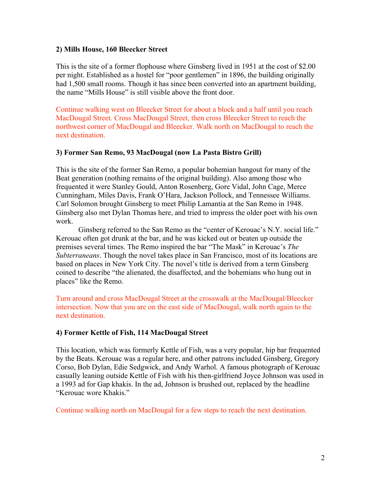## **2) Mills House, 160 Bleecker Street**

This is the site of a former flophouse where Ginsberg lived in 1951 at the cost of \$2.00 per night. Established as a hostel for "poor gentlemen" in 1896, the building originally had 1,500 small rooms. Though it has since been converted into an apartment building, the name "Mills House" is still visible above the front door.

Continue walking west on Bleecker Street for about a block and a half until you reach MacDougal Street. Cross MacDougal Street, then cross Bleecker Street to reach the northwest corner of MacDougal and Bleecker. Walk north on MacDougal to reach the next destination.

## **3) Former San Remo, 93 MacDougal (now La Pasta Bistro Grill)**

This is the site of the former San Remo, a popular bohemian hangout for many of the Beat generation (nothing remains of the original building). Also among those who frequented it were Stanley Gould, Anton Rosenberg, Gore Vidal, John Cage, Merce Cunningham, Miles Davis, Frank O'Hara, Jackson Pollock, and Tennessee Williams. Carl Solomon brought Ginsberg to meet Philip Lamantia at the San Remo in 1948. Ginsberg also met Dylan Thomas here, and tried to impress the older poet with his own work.

Ginsberg referred to the San Remo as the "center of Kerouac's N.Y. social life." Kerouac often got drunk at the bar, and he was kicked out or beaten up outside the premises several times. The Remo inspired the bar "The Mask" in Kerouac's *The Subterraneans*. Though the novel takes place in San Francisco, most of its locations are based on places in New York City. The novel's title is derived from a term Ginsberg coined to describe "the alienated, the disaffected, and the bohemians who hung out in places" like the Remo.

Turn around and cross MacDougal Street at the crosswalk at the MacDougal/Bleecker intersection. Now that you are on the east side of MacDougal, walk north again to the next destination.

# **4) Former Kettle of Fish, 114 MacDougal Street**

This location, which was formerly Kettle of Fish, was a very popular, hip bar frequented by the Beats. Kerouac was a regular here, and other patrons included Ginsberg, Gregory Corso, Bob Dylan, Edie Sedgwick, and Andy Warhol. A famous photograph of Kerouac casually leaning outside Kettle of Fish with his then-girlfriend Joyce Johnson was used in a 1993 ad for Gap khakis. In the ad, Johnson is brushed out, replaced by the headline "Kerouac wore Khakis."

Continue walking north on MacDougal for a few steps to reach the next destination.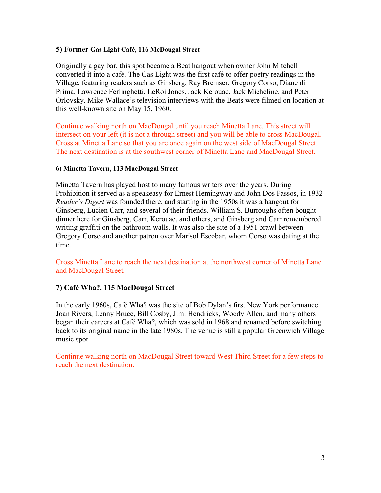## **5) Former Gas Light Café, 116 McDougal Street**

Originally a gay bar, this spot became a Beat hangout when owner John Mitchell converted it into a café. The Gas Light was the first café to offer poetry readings in the Village, featuring readers such as Ginsberg, Ray Bremser, Gregory Corso, Diane di Prima, Lawrence Ferlinghetti, LeRoi Jones, Jack Kerouac, Jack Micheline, and Peter Orlovsky. Mike Wallace's television interviews with the Beats were filmed on location at this well-known site on May 15, 1960.

Continue walking north on MacDougal until you reach Minetta Lane. This street will intersect on your left (it is not a through street) and you will be able to cross MacDougal. Cross at Minetta Lane so that you are once again on the west side of MacDougal Street. The next destination is at the southwest corner of Minetta Lane and MacDougal Street.

### **6) Minetta Tavern, 113 MacDougal Street**

Minetta Tavern has played host to many famous writers over the years. During Prohibition it served as a speakeasy for Ernest Hemingway and John Dos Passos, in 1932 *Reader's Digest* was founded there, and starting in the 1950s it was a hangout for Ginsberg, Lucien Carr, and several of their friends. William S. Burroughs often bought dinner here for Ginsberg, Carr, Kerouac, and others, and Ginsberg and Carr remembered writing graffiti on the bathroom walls. It was also the site of a 1951 brawl between Gregory Corso and another patron over Marisol Escobar, whom Corso was dating at the time.

Cross Minetta Lane to reach the next destination at the northwest corner of Minetta Lane and MacDougal Street.

# **7) Café Wha?, 115 MacDougal Street**

In the early 1960s, Café Wha? was the site of Bob Dylan's first New York performance. Joan Rivers, Lenny Bruce, Bill Cosby, Jimi Hendricks, Woody Allen, and many others began their careers at Café Wha?, which was sold in 1968 and renamed before switching back to its original name in the late 1980s. The venue is still a popular Greenwich Village music spot.

Continue walking north on MacDougal Street toward West Third Street for a few steps to reach the next destination.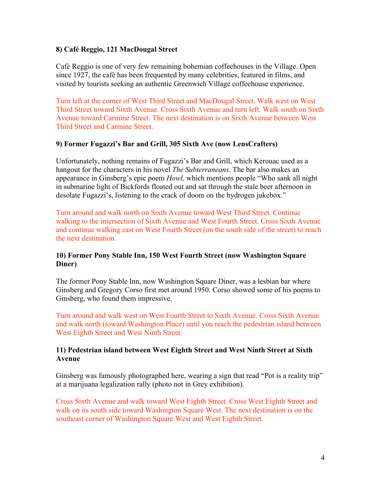## **8) Café Reggio, 121 MacDougal Street**

Café Reggio is one of very few remaining bohemian coffeehouses in the Village. Open since 1927, the café has been frequented by many celebrities, featured in films, and visited by tourists seeking an authentic Greenwich Village coffeehouse experience.

Turn left at the corner of West Third Street and MacDougal Street. Walk west on West Third Street toward Sixth Avenue. Cross Sixth Avenue and turn left. Walk south on Sixth Avenue toward Carmine Street. The next destination is on Sixth Avenue between West Third Street and Carmine Street.

### **9) Former Fugazzi's Bar and Grill, 305 Sixth Ave (now LensCrafters)**

Unfortunately, nothing remains of Fugazzi's Bar and Grill, which Kerouac used as a hangout for the characters in his novel *The Subterraneans*. The bar also makes an appearance in Ginsberg's epic poem *Howl,* which mentions people "Who sank all night in submarine light of Bickfords floated out and sat through the stale beer afternoon in desolate Fugazzi's, listening to the crack of doom on the hydrogen jukebox."

Turn around and walk north on Sixth Avenue toward West Third Street. Continue walking to the intersection of Sixth Avenue and West Fourth Street. Cross Sixth Avenue and continue walking east on West Fourth Street (on the south side of the street) to reach the next destination.

# **10) Former Pony Stable Inn, 150 West Fourth Street (now Washington Square Diner)**

The former Pony Stable Inn, now Washington Square Diner, was a lesbian bar where Ginsberg and Gregory Corso first met around 1950. Corso showed some of his poems to Ginsberg, who found them impressive.

Turn around and walk west on West Fourth Street to Sixth Avenue. Cross Sixth Avenue and walk north (toward Washington Place) until you reach the pedestrian island between West Eighth Street and West Ninth Street.

## **11) Pedestrian island between West Eighth Street and West Ninth Street at Sixth Avenue**

Ginsberg was famously photographed here, wearing a sign that read "Pot is a reality trip" at a marijuana legalization rally (photo not in Grey exhibition).

Cross Sixth Avenue and walk toward West Eighth Street. Cross West Eighth Street and walk on its south side toward Washington Square West. The next destination is on the southeast corner of Washington Square West and West Eighth Street.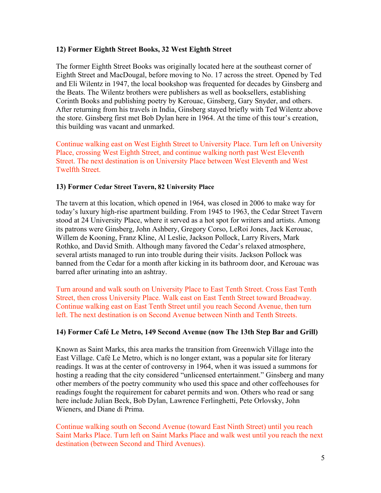## **12) Former Eighth Street Books, 32 West Eighth Street**

The former Eighth Street Books was originally located here at the southeast corner of Eighth Street and MacDougal, before moving to No. 17 across the street. Opened by Ted and Eli Wilentz in 1947, the local bookshop was frequented for decades by Ginsberg and the Beats. The Wilentz brothers were publishers as well as booksellers, establishing Corinth Books and publishing poetry by Kerouac, Ginsberg, Gary Snyder, and others. After returning from his travels in India, Ginsberg stayed briefly with Ted Wilentz above the store. Ginsberg first met Bob Dylan here in 1964. At the time of this tour's creation, this building was vacant and unmarked.

Continue walking east on West Eighth Street to University Place. Turn left on University Place, crossing West Eighth Street, and continue walking north past West Eleventh Street. The next destination is on University Place between West Eleventh and West Twelfth Street.

## **13) Former Cedar Street Tavern, 82 University Place**

The tavern at this location, which opened in 1964, was closed in 2006 to make way for today's luxury high-rise apartment building. From 1945 to 1963, the Cedar Street Tavern stood at 24 University Place, where it served as a hot spot for writers and artists. Among its patrons were Ginsberg, John Ashbery, Gregory Corso, LeRoi Jones, Jack Kerouac, Willem de Kooning, Franz Kline, Al Leslie, Jackson Pollock, Larry Rivers, Mark Rothko, and David Smith. Although many favored the Cedar's relaxed atmosphere, several artists managed to run into trouble during their visits. Jackson Pollock was banned from the Cedar for a month after kicking in its bathroom door, and Kerouac was barred after urinating into an ashtray.

Turn around and walk south on University Place to East Tenth Street. Cross East Tenth Street, then cross University Place. Walk east on East Tenth Street toward Broadway. Continue walking east on East Tenth Street until you reach Second Avenue, then turn left. The next destination is on Second Avenue between Ninth and Tenth Streets.

# **14) Former Café Le Metro, 149 Second Avenue (now The 13th Step Bar and Grill)**

Known as Saint Marks, this area marks the transition from Greenwich Village into the East Village. Café Le Metro, which is no longer extant, was a popular site for literary readings. It was at the center of controversy in 1964, when it was issued a summons for hosting a reading that the city considered "unlicensed entertainment." Ginsberg and many other members of the poetry community who used this space and other coffeehouses for readings fought the requirement for cabaret permits and won. Others who read or sang here include Julian Beck, Bob Dylan, Lawrence Ferlinghetti, Pete Orlovsky, John Wieners, and Diane di Prima.

Continue walking south on Second Avenue (toward East Ninth Street) until you reach Saint Marks Place. Turn left on Saint Marks Place and walk west until you reach the next destination (between Second and Third Avenues).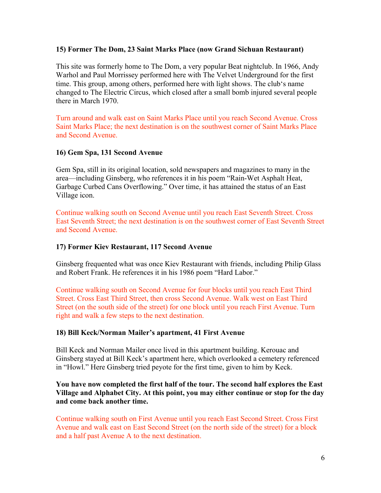### **15) Former The Dom, 23 Saint Marks Place (now Grand Sichuan Restaurant)**

This site was formerly home to The Dom, a very popular Beat nightclub. In 1966, Andy Warhol and Paul Morrissey performed here with The Velvet Underground for the first time. This group, among others, performed here with light shows. The club's name changed to The Electric Circus, which closed after a small bomb injured several people there in March 1970.

Turn around and walk east on Saint Marks Place until you reach Second Avenue. Cross Saint Marks Place; the next destination is on the southwest corner of Saint Marks Place and Second Avenue.

### **16) Gem Spa, 131 Second Avenue**

Gem Spa, still in its original location, sold newspapers and magazines to many in the area—including Ginsberg, who references it in his poem "Rain-Wet Asphalt Heat, Garbage Curbed Cans Overflowing." Over time, it has attained the status of an East Village icon.

Continue walking south on Second Avenue until you reach East Seventh Street. Cross East Seventh Street; the next destination is on the southwest corner of East Seventh Street and Second Avenue.

#### **17) Former Kiev Restaurant, 117 Second Avenue**

Ginsberg frequented what was once Kiev Restaurant with friends, including Philip Glass and Robert Frank. He references it in his 1986 poem "Hard Labor."

Continue walking south on Second Avenue for four blocks until you reach East Third Street. Cross East Third Street, then cross Second Avenue. Walk west on East Third Street (on the south side of the street) for one block until you reach First Avenue. Turn right and walk a few steps to the next destination.

#### **18) Bill Keck/Norman Mailer's apartment, 41 First Avenue**

Bill Keck and Norman Mailer once lived in this apartment building. Kerouac and Ginsberg stayed at Bill Keck's apartment here, which overlooked a cemetery referenced in "Howl." Here Ginsberg tried peyote for the first time, given to him by Keck.

### **You have now completed the first half of the tour. The second half explores the East Village and Alphabet City. At this point, you may either continue or stop for the day and come back another time.**

Continue walking south on First Avenue until you reach East Second Street. Cross First Avenue and walk east on East Second Street (on the north side of the street) for a block and a half past Avenue A to the next destination.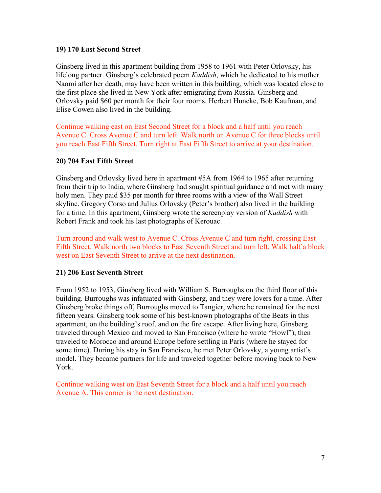### **19) 170 East Second Street**

Ginsberg lived in this apartment building from 1958 to 1961 with Peter Orlovsky, his lifelong partner. Ginsberg's celebrated poem *Kaddish*, which he dedicated to his mother Naomi after her death, may have been written in this building, which was located close to the first place she lived in New York after emigrating from Russia. Ginsberg and Orlovsky paid \$60 per month for their four rooms. Herbert Huncke, Bob Kaufman, and Elise Cowen also lived in the building.

Continue walking east on East Second Street for a block and a half until you reach Avenue C. Cross Avenue C and turn left. Walk north on Avenue C for three blocks until you reach East Fifth Street. Turn right at East Fifth Street to arrive at your destination.

# **20) 704 East Fifth Street**

Ginsberg and Orlovsky lived here in apartment #5A from 1964 to 1965 after returning from their trip to India, where Ginsberg had sought spiritual guidance and met with many holy men. They paid \$35 per month for three rooms with a view of the Wall Street skyline. Gregory Corso and Julius Orlovsky (Peter's brother) also lived in the building for a time. In this apartment, Ginsberg wrote the screenplay version of *Kaddish* with Robert Frank and took his last photographs of Kerouac.

Turn around and walk west to Avenue C. Cross Avenue C and turn right, crossing East Fifth Street. Walk north two blocks to East Seventh Street and turn left. Walk half a block west on East Seventh Street to arrive at the next destination.

# **21) 206 East Seventh Street**

From 1952 to 1953, Ginsberg lived with William S. Burroughs on the third floor of this building. Burroughs was infatuated with Ginsberg, and they were lovers for a time. After Ginsberg broke things off, Burroughs moved to Tangier, where he remained for the next fifteen years. Ginsberg took some of his best-known photographs of the Beats in this apartment, on the building's roof, and on the fire escape. After living here, Ginsberg traveled through Mexico and moved to San Francisco (where he wrote "Howl"), then traveled to Morocco and around Europe before settling in Paris (where he stayed for some time). During his stay in San Francisco, he met Peter Orlovsky, a young artist's model. They became partners for life and traveled together before moving back to New York.

Continue walking west on East Seventh Street for a block and a half until you reach Avenue A. This corner is the next destination.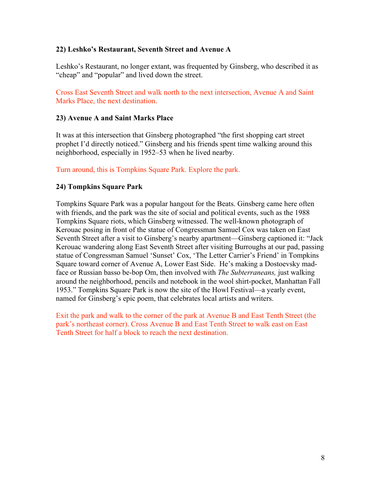## **22) Leshko's Restaurant, Seventh Street and Avenue A**

Leshko's Restaurant, no longer extant, was frequented by Ginsberg, who described it as "cheap" and "popular" and lived down the street.

Cross East Seventh Street and walk north to the next intersection, Avenue A and Saint Marks Place, the next destination.

### **23) Avenue A and Saint Marks Place**

It was at this intersection that Ginsberg photographed "the first shopping cart street prophet I'd directly noticed." Ginsberg and his friends spent time walking around this neighborhood, especially in 1952–53 when he lived nearby.

Turn around, this is Tompkins Square Park. Explore the park.

## **24) Tompkins Square Park**

Tompkins Square Park was a popular hangout for the Beats. Ginsberg came here often with friends, and the park was the site of social and political events, such as the 1988 Tompkins Square riots, which Ginsberg witnessed. The well-known photograph of Kerouac posing in front of the statue of Congressman Samuel Cox was taken on East Seventh Street after a visit to Ginsberg's nearby apartment—Ginsberg captioned it: "Jack Kerouac wandering along East Seventh Street after visiting Burroughs at our pad, passing statue of Congressman Samuel 'Sunset' Cox, 'The Letter Carrier's Friend' in Tompkins Square toward corner of Avenue A, Lower East Side. He's making a Dostoevsky madface or Russian basso be-bop Om, then involved with *The Subterraneans,* just walking around the neighborhood, pencils and notebook in the wool shirt-pocket, Manhattan Fall 1953." Tompkins Square Park is now the site of the Howl Festival—a yearly event, named for Ginsberg's epic poem, that celebrates local artists and writers.

Exit the park and walk to the corner of the park at Avenue B and East Tenth Street (the park's northeast corner). Cross Avenue B and East Tenth Street to walk east on East Tenth Street for half a block to reach the next destination.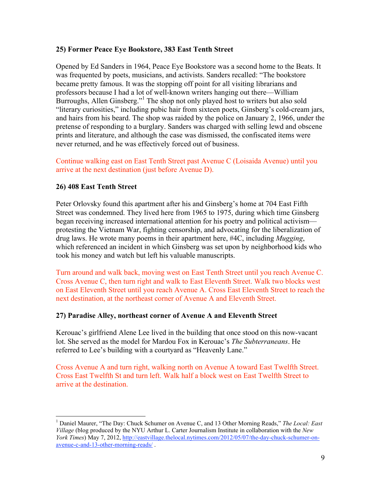## **25) Former Peace Eye Bookstore, 383 East Tenth Street**

Opened by Ed Sanders in 1964, Peace Eye Bookstore was a second home to the Beats. It was frequented by poets, musicians, and activists. Sanders recalled: "The bookstore became pretty famous. It was the stopping off point for all visiting librarians and professors because I had a lot of well-known writers hanging out there—William Burroughs, Allen Ginsberg."<sup>1</sup> The shop not only played host to writers but also sold "literary curiosities," including pubic hair from sixteen poets, Ginsberg's cold-cream jars, and hairs from his beard. The shop was raided by the police on January 2, 1966, under the pretense of responding to a burglary. Sanders was charged with selling lewd and obscene prints and literature, and although the case was dismissed, the confiscated items were never returned, and he was effectively forced out of business.

Continue walking east on East Tenth Street past Avenue C (Loisaida Avenue) until you arrive at the next destination (just before Avenue D).

## **26) 408 East Tenth Street**

Peter Orlovsky found this apartment after his and Ginsberg's home at 704 East Fifth Street was condemned. They lived here from 1965 to 1975, during which time Ginsberg began receiving increased international attention for his poetry and political activism protesting the Vietnam War, fighting censorship, and advocating for the liberalization of drug laws. He wrote many poems in their apartment here, #4C, including *Mugging*, which referenced an incident in which Ginsberg was set upon by neighborhood kids who took his money and watch but left his valuable manuscripts.

Turn around and walk back, moving west on East Tenth Street until you reach Avenue C. Cross Avenue C, then turn right and walk to East Eleventh Street. Walk two blocks west on East Eleventh Street until you reach Avenue A. Cross East Eleventh Street to reach the next destination, at the northeast corner of Avenue A and Eleventh Street.

### **27) Paradise Alley, northeast corner of Avenue A and Eleventh Street**

Kerouac's girlfriend Alene Lee lived in the building that once stood on this now-vacant lot. She served as the model for Mardou Fox in Kerouac's *The Subterraneans*. He referred to Lee's building with a courtyard as "Heavenly Lane."

Cross Avenue A and turn right, walking north on Avenue A toward East Twelfth Street. Cross East Twelfth St and turn left. Walk half a block west on East Twelfth Street to arrive at the destination.

 $\frac{1}{1}$  Daniel Maurer, "The Day: Chuck Schumer on Avenue C, and 13 Other Morning Reads," *The Local: East Village* (blog produced by the NYU Arthur L. Carter Journalism Institute in collaboration with the *New York Times*) May 7, 2012, http://eastvillage.thelocal.nytimes.com/2012/05/07/the-day-chuck-schumer-onavenue-c-and-13-other-morning-reads/ .